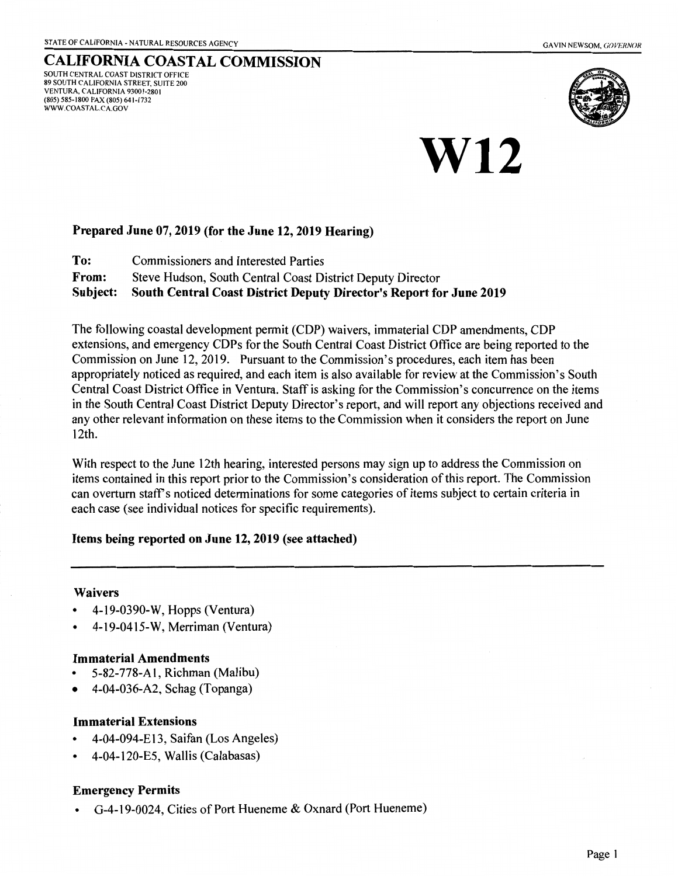SOUTH CENTRAL COAST DISTRICT OFFICE 89 SOUTH CALIFORNIA STREET, SUITE 200 VENTURA, CALIFORNIA 93001-2801 (805) 585-1800 FAX (805) 641-1732 WWW.COASTAL.CA.GOV



# **W12**

CALIFORNIA COASTAL COMMISSION

# Prepared June 07,2019 (for the June 12,2019 Hearing)

| To:          | <b>Commissioners and Interested Parties</b>                                                                                                                                                                                                             |
|--------------|---------------------------------------------------------------------------------------------------------------------------------------------------------------------------------------------------------------------------------------------------------|
| <b>From:</b> | Steve Hudson, South Central Coast District Deputy Director                                                                                                                                                                                              |
|              | $\mathcal{C}_{\text{in}}$ biash $\mathcal{C}_{\text{out}}$ $\mathcal{C}_{\text{out}}$ $\mathcal{C}_{\text{out}}$ $\mathcal{D}_{\text{out}}$ $\mathcal{D}_{\text{out}}$ $\mathcal{D}_{\text{out}}$ $\mathcal{D}_{\text{out}}$ $\mathcal{C}_{\text{out}}$ |

Subject: South Central Coast District Deputy Director's Report for June 2019

The following coastal development permit (COP) waivers, immaterial COP amendments, COP extensions, and emergency CDPs for the South Central Coast District Office are being reported to the Commission on June 12, 2019. Pursuant to the Commission's procedures, each item has been appropriately noticed as required, and each item is also available for review at the Commission's South Central Coast District Office in Ventura. Staff is asking for the Commission's concurrence on the items in the South Central Coast District Deputy Director's report, and will report any objections received and any other relevant information on these items to the Commission when it considers the report on June 12th.

With respect to the June 12th hearing, interested persons may sign up to address the Commission on items contained in this report prior to the Commission's consideration of this report. The Commission can overturn staff's noticed determinations for some categories of items subject to certain criteria in each case (see individual notices for specific requirements).

Items being reported on June 12, 2019 (see attached)

# Waivers

- 4-19-0390-W, Hopps (Ventura)
- 4-19-0415-W, Merriman (Ventura)

# Immaterial Amendments

- 5-82-778-A 1, Richman (Malibu)
- 4-04-036-A2, Schag (Topanga)

# Immaterial Extensions

- 4-04-094-E13, Saifan (Los Angeles)
- 4-04-120-ES, Wallis (Calabasas)

# Emergency Permits

• G-4-19-0024, Cities of Port Hueneme & Oxnard (Port Hueneme)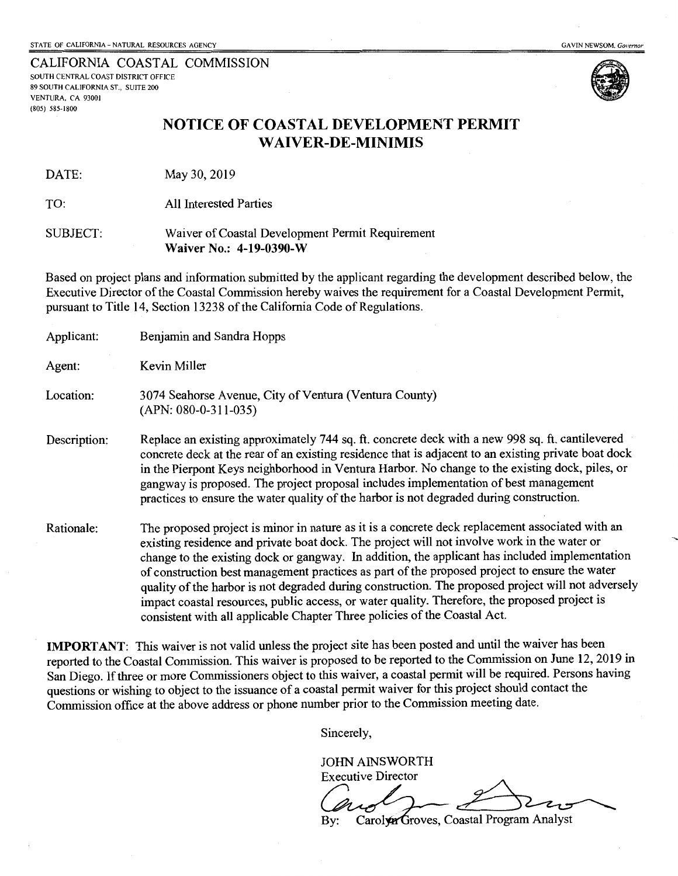CALIFORNIA COASTAL COMMISSION SOUTH CENTRAL COAST DISTRICT OFFICE 89 SOUTH CALIFORNIA ST., SUITE 200 VENTURA, CA 93001 (805) 585-1800



## **NOTICE OF COASTAL DEVELOPMENT PERMIT WAIVER-DE-MINIMIS**

DATE: May 30, 2019

TO: All Interested Parties

SUBJECT: Waiver of Coastal Development Permit Requirement **Waiver No.: 4-19-0390-W** 

Based on project plans and information submitted by the applicant regarding the development described below, the Executive Director of the Coastal Commission hereby waives the requirement for a Coastal Development Permit, pursuant to Title 14, Section 13238 of the California Code of Regulations.

| Applicant:   | Benjamin and Sandra Hopps                                                                                                                                                                                                                                                                                                                                                                                                                                                                                                                                                                                                                                                             |
|--------------|---------------------------------------------------------------------------------------------------------------------------------------------------------------------------------------------------------------------------------------------------------------------------------------------------------------------------------------------------------------------------------------------------------------------------------------------------------------------------------------------------------------------------------------------------------------------------------------------------------------------------------------------------------------------------------------|
| Agent:       | Kevin Miller                                                                                                                                                                                                                                                                                                                                                                                                                                                                                                                                                                                                                                                                          |
| Location:    | 3074 Seahorse Avenue, City of Ventura (Ventura County)<br>$(APN: 080-0-311-035)$                                                                                                                                                                                                                                                                                                                                                                                                                                                                                                                                                                                                      |
| Description: | Replace an existing approximately 744 sq. ft. concrete deck with a new 998 sq. ft. cantilevered<br>concrete deck at the rear of an existing residence that is adjacent to an existing private boat dock<br>in the Pierpont Keys neighborhood in Ventura Harbor. No change to the existing dock, piles, or<br>gangway is proposed. The project proposal includes implementation of best management<br>practices to ensure the water quality of the harbor is not degraded during construction.                                                                                                                                                                                         |
| Rationale:   | The proposed project is minor in nature as it is a concrete deck replacement associated with an<br>existing residence and private boat dock. The project will not involve work in the water or<br>change to the existing dock or gangway. In addition, the applicant has included implementation<br>of construction best management practices as part of the proposed project to ensure the water<br>quality of the harbor is not degraded during construction. The proposed project will not adversely<br>impact coastal resources, public access, or water quality. Therefore, the proposed project is<br>consistent with all applicable Chapter Three policies of the Coastal Act. |

**IMPORTANT:** This waiver is not valid unless the project site has been posted and until the waiver has been reported to the Coastal Commission. This waiver is proposed to be reported to the Commission on June 12,2019 in San Diego. If three or more Commissioners object to this waiver, a coastal permit will be required. Persons having questions or wishing to object to the issuance of a coastal permit waiver for this project should contact the Commission office at the above address or phone number prior to the Commission meeting date.

Sincerely,

JOHN AINSWORTH Executive Director Carolyn Groves, Coastal Program Analyst Bv: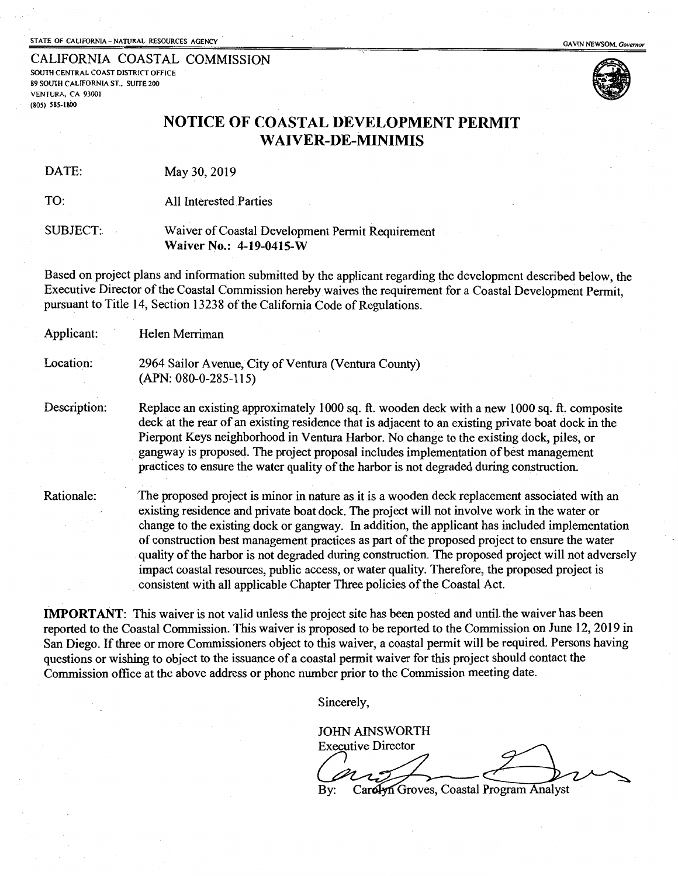CALIFORNIA COASTAL COMMISSION SOUTH CENTRAL COAST DISTRICT OFFICE 89 SOUTH CALIFORNIA ST., SUITE 200 VENTURA, CA 93001 ·(80S) SSS-1800



## NOTICE OF COASTAL DEVELOPMENT PERMIT WAIVER-DE-MINIMIS

DATE: May 30,2019

TO: All Interested Parties

#### SUBJECT: Waiver of Coastal Development Permit Requirement Waiver No.: 4-19-0415-W

Based on project plans and information submitted by the applicant regarding the development described below, the Executive Director of the Coastal Commission hereby waives the requirement for a Coastal Development Permit, pursuant to Title 14, Section 1323 8 of the California Code of Regulations.

| Applicant:   | Helen Merriman                                                                                                                                                                                                                                                                                                                                                                                                                                                                                                                                                                                                                                                                      |
|--------------|-------------------------------------------------------------------------------------------------------------------------------------------------------------------------------------------------------------------------------------------------------------------------------------------------------------------------------------------------------------------------------------------------------------------------------------------------------------------------------------------------------------------------------------------------------------------------------------------------------------------------------------------------------------------------------------|
| Location:    | 2964 Sailor Avenue, City of Ventura (Ventura County)<br>$(APN: 080-0-285-115)$                                                                                                                                                                                                                                                                                                                                                                                                                                                                                                                                                                                                      |
| Description: | Replace an existing approximately 1000 sq. ft. wooden deck with a new 1000 sq. ft. composite<br>deck at the rear of an existing residence that is adjacent to an existing private boat dock in the<br>Pierpont Keys neighborhood in Ventura Harbor. No change to the existing dock, piles, or<br>gangway is proposed. The project proposal includes implementation of best management<br>practices to ensure the water quality of the harbor is not degraded during construction.                                                                                                                                                                                                   |
| Rationale:   | The proposed project is minor in nature as it is a wooden deck replacement associated with an<br>existing residence and private boat dock. The project will not involve work in the water or<br>change to the existing dock or gangway. In addition, the applicant has included implementation<br>of construction best management practices as part of the proposed project to ensure the water<br>quality of the harbor is not degraded during construction. The proposed project will not adversely<br>impact coastal resources, public access, or water quality. Therefore, the proposed project is<br>consistent with all applicable Chapter Three policies of the Coastal Act. |

IMPORTANT: This waiver is not valid unless the project site has been posted and until the waiver has been reported to the Coastal Commission. This waiver is proposed to be reported to the Commission on June 12,2019 in San Diego. If three or more Commissioners object to this waiver, a coastal permit will be required. Persons having questions or wishing to object to the issuance of a coastal permit waiver for this project should contact the Commission office at the above address or phone number prior to the Commission meeting date.

Sincerely,

JOHN AINSWORTH

**Executive Director** Cardyn Groves, Coastal Program Analyst By: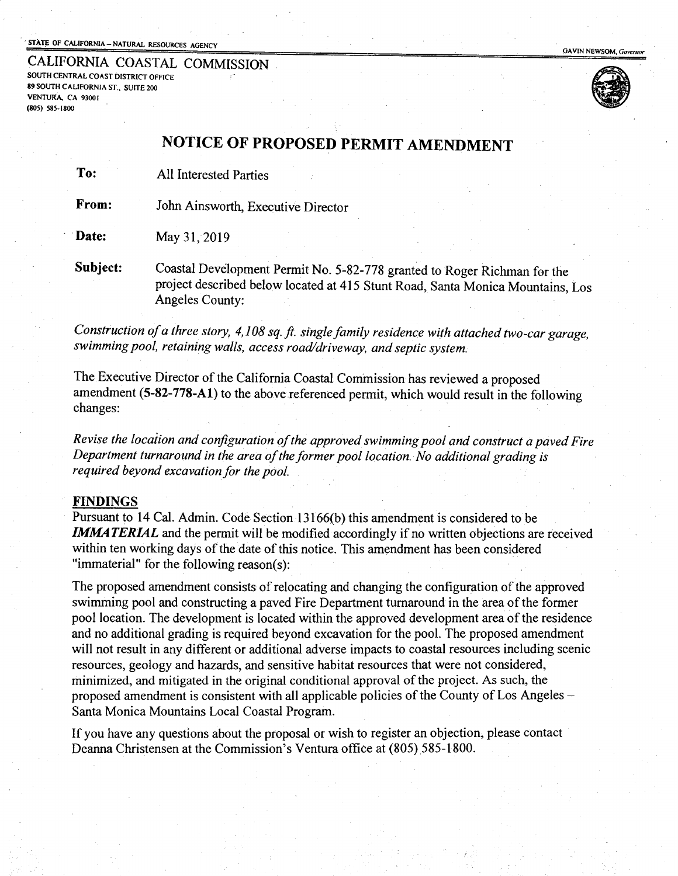#### STATE OF CALIFORNIA - NATURAL RESOURCES AGENCY

CALIFORNIA COASTAL COMMISSION . SOUTH CENTRAL COAST DISTRICT OFFICE 89 SOUTH CALIFORNIA ST., SUITE 200 VENTIJKA. CA 9300 I (80S) SSS-1800



GAVIN NEWSOM, Governor

## NOTICE OF PROPOSED PERMIT AMENDMENT

To: All Interested Parties

From: John Ainsworth, Executive Director

**Date:** May 31, 2019

Subject: Coastal Development Permit No. 5-82-778 granted to Roger Richman for the project described below located at 415 Stunt Road, Santa Monica Mountains, Los Angeles County:

*Construction of a three story, 4, 108 sq.* ft. *single family residence with attached two-car garage, swimming pool, retaining walls, access road/driveway, and septic system.* 

The Executive Director of the California Coastal Commission has reviewed a proposed amendment  $(5-82-778-A1)$  to the above referenced permit, which would result in the following changes:

*Revise the location and configuration of the approved swimming pool and construct a paved Fire Department turnaround in the area of the former pool location. No additional grading is required beyond excavation for the pool.* 

#### FINDINGS

Pursuant to 14 Cal. Admin. Code Section 13l66(b) this amendment is considered to be **IMMATERIAL** and the permit will be modified accordingly if no written objections are received within ten working days of the date of this notice. This amendment has been considered "immaterial" for the following reason(s):

The proposed amendment consists of relocating and changing the configuration of the approved swimming pool and constructing a paved Fire Department turnaround in the area of the former pool location. The development is located within the approved development area of the residence and no additional grading is required beyond excavation for the pool. The proposed amendment will not result in any different or additional adverse impacts to coastal resources including scenic resources, geology and hazards, and sensitive habitat resources that were not considered, minimized, and mitigated in the original conditional approval of the project. As such, the proposed amendment is consistent with all applicable policies of the County of Los Angeles-Santa Monica Mountains Local Coastal Program.

If you have any questions about the proposal or wish to register an objection, please contact Deanna Christensen at the Commission's Ventura office at (805) 585-1800.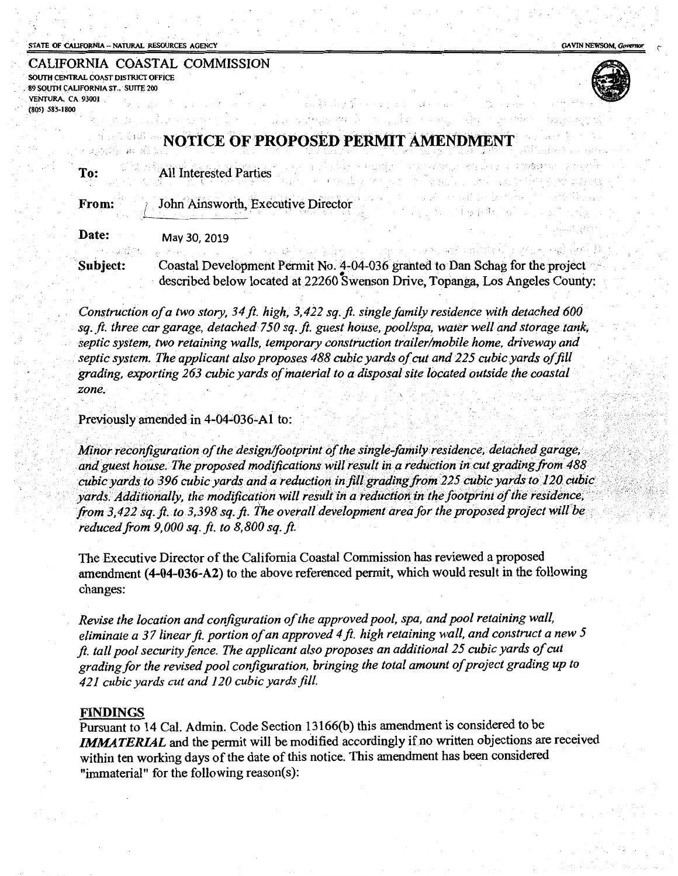#### STATE OF CALIFORNIA - NATURAL RESOURCES AGENCY

**GAVIN NEWSOM, Governe** 

| CALIFORNIA COASTAL COMMISSION       |  |                       |  |  |
|-------------------------------------|--|-----------------------|--|--|
| SOUTH CENTRAL COAST DISTRICT OFFICE |  |                       |  |  |
| 89 SOUTH CALIFORNIA ST., SUITE 200  |  |                       |  |  |
| VENTURA, CA 93001                   |  | ほうしゅせいき しょうようき しゅうせいよ |  |  |
| $(805)$ 585-1800                    |  |                       |  |  |



.. ,.·

.. •.·', . :·····

## **TCE OF PROPOSED PERMIT**

:f . ."\

| To: | <b>All Interested Parties</b> |  |
|-----|-------------------------------|--|
|     |                               |  |

John Ainsworth, Executive Director From:

Date: May 30,2019

Subject: Coastal Development Permit No. 4-04-036 granted to Dan Schag for the project described below located at 22260 Swenson Drive, Topanga, Los Angeles County:

;, *J.* •

·.: ... ·.''1'

Construction of a two story, 34 ft. high, 3,422 sq. ft. single family residence with detached 600 sq. ft. three car garage, detached 750 sq. ft. guest house, pool/spa, water well and storage tank, septic system, two retaining walls, temporary construction trailer/mobile home, driveway and septic system. The applicant also proposes 488 cubic yards of cut and 225 cubic yards of fill *grading •. exporting 263 cubic yards of materia/to a disposal site [o(:ated outside the coastal ·zone.·* \' .··

#### Previously amended in 4-04-036-A1 to:

Minor reconfiguration of the design/footprint of the single-family residence, detached garage, and guest house. The proposed modifications will result in a reduction in cut grading from 488 cubic yards to 396 cubic yards a *reduced from 9,000 sq. ft. to 8,800 sq. ft.* 

The Executive Director of the California Coastal Commission has reviewed a proposed amendment (4-04-036-A2) to the above referenced permit, which would result in the following changes:

*Revise the location and configuration of the approved pool, spa. and pool retaining wall. eliminate a 3* 7 *linear ft. portion of an approved 4ft. high retaining wall. and construct a new 5 ft. tall pool security fence. The applicant also proposes an additional 25 cubic yards ofcut grading for the revised pool configuration. bringing the total amount of project grading up to 4 21 cubic yards cut and 120 cubic yards fill.* 

#### FINDINGS

Pursuant to 14 Cal. Admin. Code Section 13166(b) this amendment is considered to be *IMMATERIAL* and the permit will be modified accordingly if no written objections are received within ten working days of the date of this notice. This amendment has been considered "immaterial" for the following reason(s):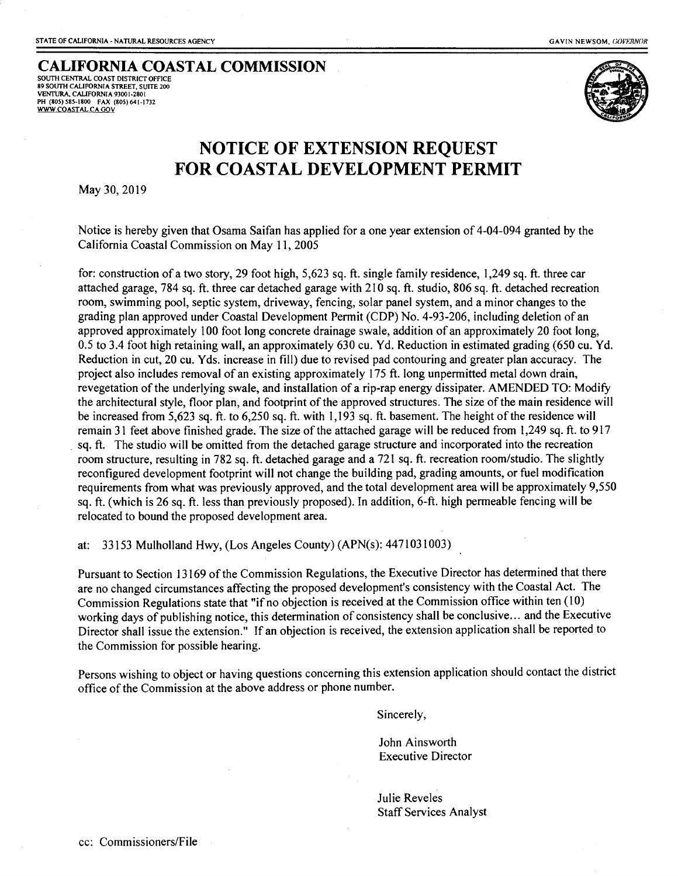## **CALIFORNIA COASTAL COMMISSION**  SOUTH CENTRAL COAST DISTRICT OFFICE

89 SOUTH CALIFORNIA STREET, SUITE 200<br>VENTURA, CALIFORNIA 93001-2801<br>PH (80S) S8S-1800 FAX (80S) 641-1732<br><u>WWW.COASTAL.CA GOV</u>



# **NOTICE OF EXTENSION REQUEST FOR COASTAL DEVELOPMENT PERMIT**

May 30,2019

Notice is hereby given that Osama Saifan has applied for a one year extension of 4-04-094 granted by the California Coastal Commission on May 11, 2005

for: construction of a two story, 29 foot high, 5,623 sq. ft. single family residence, I ,249 sq. ft. three car attached garage, 784 sq. ft. three car detached garage with 210 sq. ft. studio, 806 sq. ft. detached recreation room, swimming pool, septic system, driveway, fencing, solar panel system, and a minor changes to the grading plan approved under Coastal Development Permit (CDP) No. 4-93-206, including deletion of an approved approximately I 00 foot long concrete drainage swale, addition of an approximately 20 foot long, 0.5 to 3.4 foot high retaining wall, an approximately 630 cu. Yd. Reduction in estimated grading (650 cu. Yd. Reduction in cut, 20 cu. Yds. increase in fill) due to revised pad contouring and greater plan accuracy. The project also includes removal of an existing approximately 175 ft. long unpermitted metal down drain, revegetation of the underlying swale, and installation of a rip-rap energy dissipater. AMENDED TO: Modify the architectural style, floor plan, and footprint of the approved structures. The size of the main residence will be increased from 5,623 sq. ft. to 6,250 sq. ft. with 1,193 sq. ft. basement. The height of the residence will remain 31 feet above finished grade. The size of the attached garage will be reduced from 1,249 sq. ft. to 917 . sq. ft. The studio will be omitted from the detached garage structure and incorporated into the recreation room structure, resulting in 782 sq. ft. detached garage and a 721 sq. ft. recreation room/studio. The slightly reconfigured development footprint will not change the building pad, grading amounts, or fuel modification requirements from what was previously approved, and the total development area will be approximately 9,550 sq. ft. (which is 26 sq. ft. less than previously proposed). In addition, 6-ft. high permeable fencing will be relocated to bound the proposed development area.

at: 33153 Mulholland Hwy, (Los Angeles County) (APN(s): 4471031003)

Pursuant to Section 13169 of the Commission Regulations, the Executive Director has determined that there are no changed circumstances affecting the proposed development's consistency with the Coastal Act. The Commission Regulations state that "if no objection is received at the Commission office within ten (10) working days of publishing notice, this determination of consistency shall be conclusive ... and the Executive Director shall issue the extension." If an objection is received, the extension application shall be reported to the Commission for possible hearing.

Persons wishing to object or having questions concerning this extension application should contact the district office of the Commission at the above address or phone number.

Sincerely,

John Ainsworth Executive Director

Julie Reveles Staff Services Analyst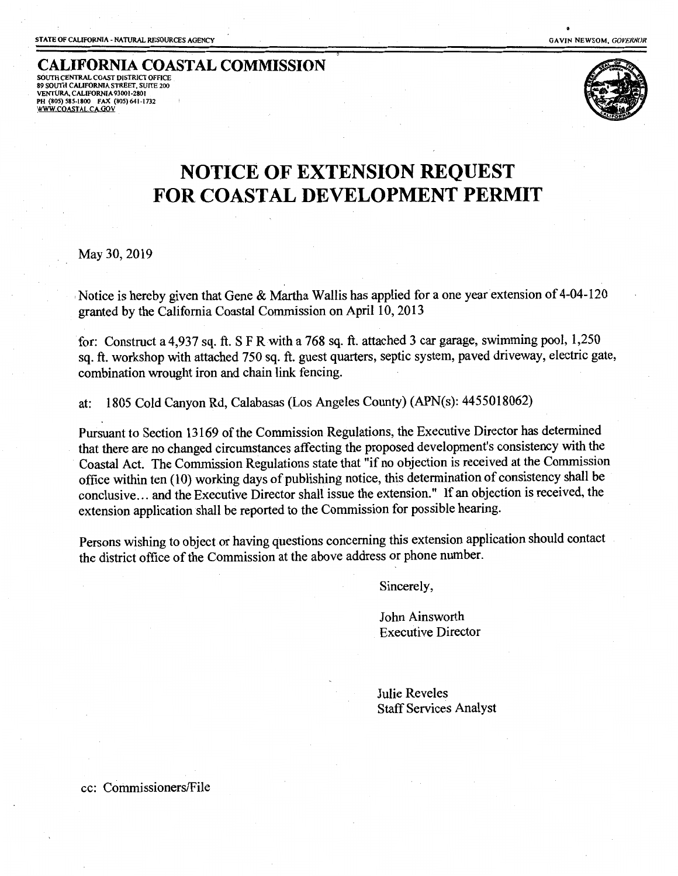**CALIFORNIA COASTAL COMMISSION**  SOUTH CENTRAL COAST DISTRICT OFFICE 89 SOUTH CALIFORNIA STREET, SUITE 200 VENTURA, CAUFORNIA 93001-2801 PH (80S) S85-1800 FAX (80S) 641-1732 SOUTH CENTRAL COAST DISTRICT OFFICE<br>SO SOUTH CALIFORNIA STREET, SUITE 200<br>VENTURA, CALIFORNIA 93001-2801<br>HI (805) S85-1800 FAX (805) 641-1732<br>WWW.COASTAL.CA.GOV



# **NOTICE OF EXTENSION REQUEST FOR COASTAL DEVELOPMENT PERMIT**

May 30,2019

Notice is hereby given that Gene & Martha Wallis has applied for a one year extension of 4-04-120 granted by the California Coastal Commission on April 10, 2013

for: Construct a 4,937 sq. ft. SF Rwith a 768 sq. ft. attached 3 car garage, swimming pool, 1,250 sq. ft. workshop with attached 750 sq. ft. guest quarters, septic system, paved driveway, electric gate, combination wrought iron and chain link fencing.

at: 1805 Cold Canyon Rd, Calabasas (Los Angeles County) (APN(s): 4455018062)

Pursuant to Section 13169 of the Commission Regulations, the Executive Director has determined that there are no changed circumstances affecting the proposed development's consistency with the Coastal Act. The Commission Regulations state that "if no objection is received at the Commission office within ten (10) working days of publishing notice, this determination of consistency shall be conclusive ... and the Executive Director shall issue the extension." If an objection is received, the extension application shall be reported to the Commission for possible hearing.

Persons wishing to object or having questions concerning this extension application should contact the district office of the Commission at the above address or phone number.

Sincerely,

John Ainsworth Executive Director

Julie Reveles Staff Services Analyst

cc: Commissioners/File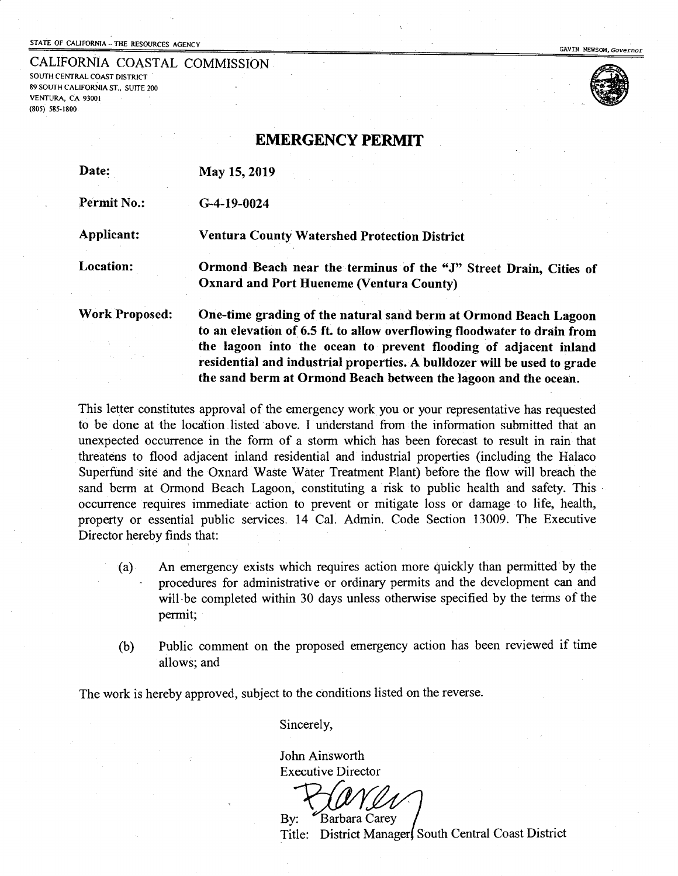## STATE OF CALIFORNIA - THE RESOURCES AGENCY GAVIN *NEWSOM, Governor* GAVIN *NEWSOM, Governor*

CALIFORNIA COASTAL COMMISSION<br>south central coast district

89 SOUTH CALIFORNIA ST., SUITE 200 VENTURA, CA 93001 (805) 585-1800





EMERGENCY **PERMIT** 

| Date:                 | May 15, 2019                                                                                                                                                                                                                                                                                                                                                    |
|-----------------------|-----------------------------------------------------------------------------------------------------------------------------------------------------------------------------------------------------------------------------------------------------------------------------------------------------------------------------------------------------------------|
| <b>Permit No.:</b>    | $G-4-19-0024$                                                                                                                                                                                                                                                                                                                                                   |
| Applicant:            | <b>Ventura County Watershed Protection District</b>                                                                                                                                                                                                                                                                                                             |
| Location:             | Ormond Beach near the terminus of the "J" Street Drain, Cities of<br><b>Oxnard and Port Hueneme (Ventura County)</b>                                                                                                                                                                                                                                            |
| <b>Work Proposed:</b> | One-time grading of the natural sand berm at Ormond Beach Lagoon<br>to an elevation of 6.5 ft. to allow overflowing floodwater to drain from<br>the lagoon into the ocean to prevent flooding of adjacent inland<br>residential and industrial properties. A bulldozer will be used to grade<br>the sand berm at Ormond Beach between the lagoon and the ocean. |

This letter constitutes approval of the emergency work you or your representative has requested to be done at the location listed above. I understand from the information submitted that an unexpected occurrence in the form of a storm which has been forecast to result in rain that threatens to flood adjacent inland residential and industrial properties (including the Halaco Superfund site and the Oxnard Waste Water Treatment Plant) before the flow will breach the sand berm at Ormond Beach Lagoon, constituting a risk to public health and safety. This occurrence requires immediate action to prevent or mitigate loss or damage to life, health, property or essential public services. 14 Cal. Admin. Code Section 13009. The Executive Director hereby finds that:

- (a) An emergency exists which requires action more quickly than permitted'by the procedures for administrative or ordinary permits and the development can and will-be completed within 30 days unless otherwise specified by the terms of the permit;
- (b) Public comment on the proposed emergency action has been reviewed if time allows; and

The work is hereby approved, subject to the conditions listed on the reverse.

Sincerely,

John Ainsworth Executive Director

By: Barbara Carey Title: District Manager, South Central Coast District